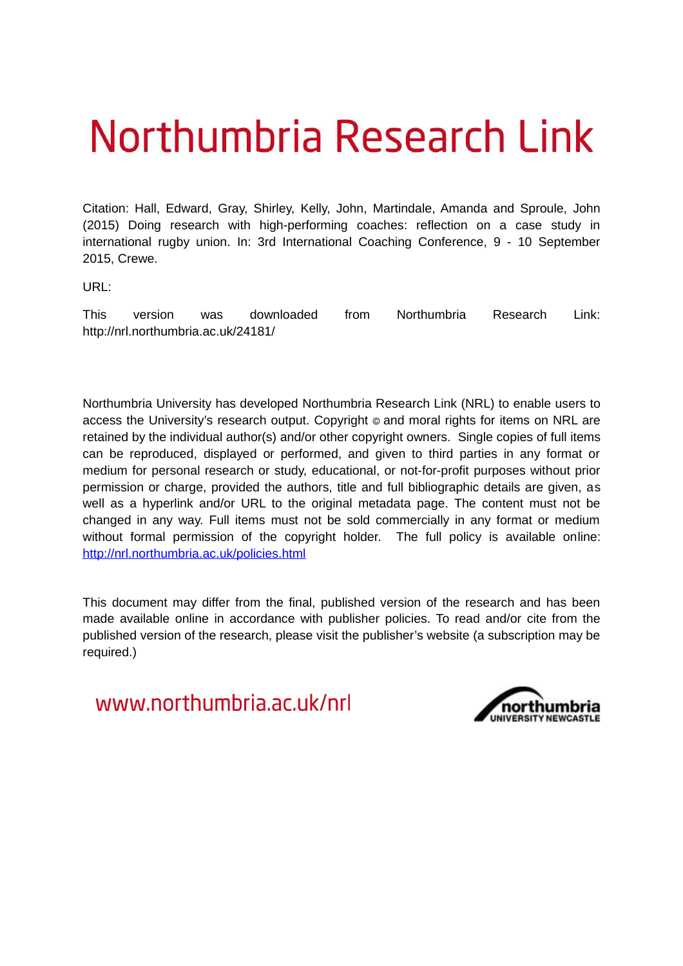# Northumbria Research Link

Citation: Hall, Edward, Gray, Shirley, Kelly, John, Martindale, Amanda and Sproule, John (2015) Doing research with high-performing coaches: reflection on a case study in international rugby union. In: 3rd International Coaching Conference, 9 - 10 September 2015, Crewe.

URL:

This version was downloaded from Northumbria Research Link: http://nrl.northumbria.ac.uk/24181/

Northumbria University has developed Northumbria Research Link (NRL) to enable users to access the University's research output. Copyright  $\circ$  and moral rights for items on NRL are retained by the individual author(s) and/or other copyright owners. Single copies of full items can be reproduced, displayed or performed, and given to third parties in any format or medium for personal research or study, educational, or not-for-profit purposes without prior permission or charge, provided the authors, title and full bibliographic details are given, as well as a hyperlink and/or URL to the original metadata page. The content must not be changed in any way. Full items must not be sold commercially in any format or medium without formal permission of the copyright holder. The full policy is available online: <http://nrl.northumbria.ac.uk/policies.html>

This document may differ from the final, published version of the research and has been made available online in accordance with publisher policies. To read and/or cite from the published version of the research, please visit the publisher's website (a subscription may be required.)

www.northumbria.ac.uk/nrl

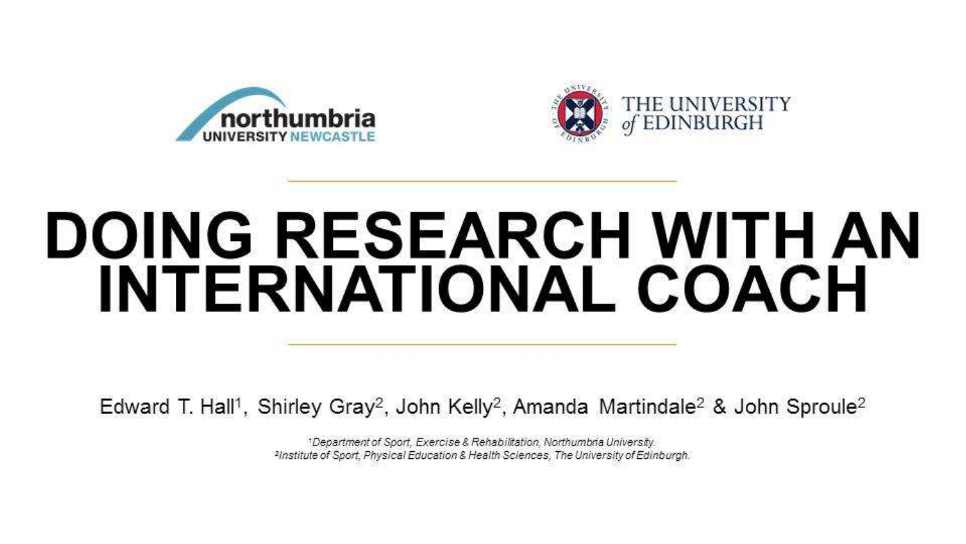



# **DOING RESEARCH WITH AN INTERNATIONAL COACH**

Edward T. Hall<sup>1</sup>, Shirley Gray<sup>2</sup>, John Kelly<sup>2</sup>, Amanda Martindale<sup>2</sup> & John Sproule<sup>2</sup>

\*Department of Sport, Exercise & Rehabilitation, Northumbria University. <sup>2</sup>Institute of Sport, Physical Education & Health Sciences, The University of Edinburgh.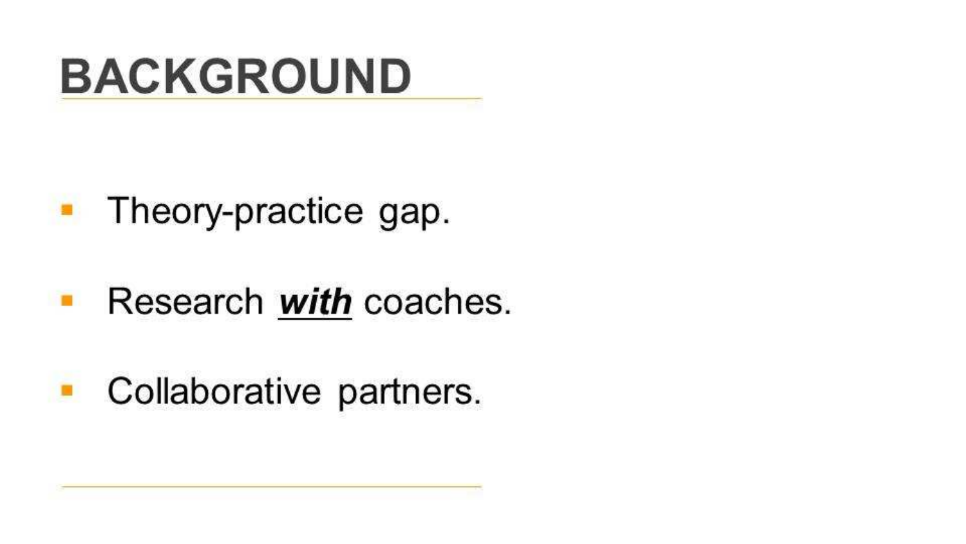### **BACKGROUND**

### • Theory-practice gap.

#### Research with coaches. ×

#### Collaborative partners. D.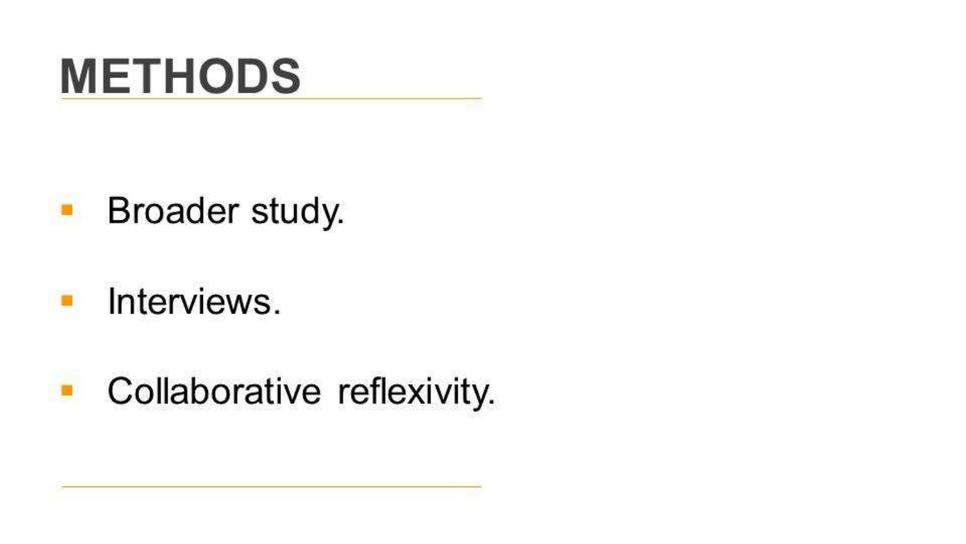### **METHODS**

#### $\blacksquare$ Broader study.

#### Interviews. ×.

#### Collaborative reflexivity. O.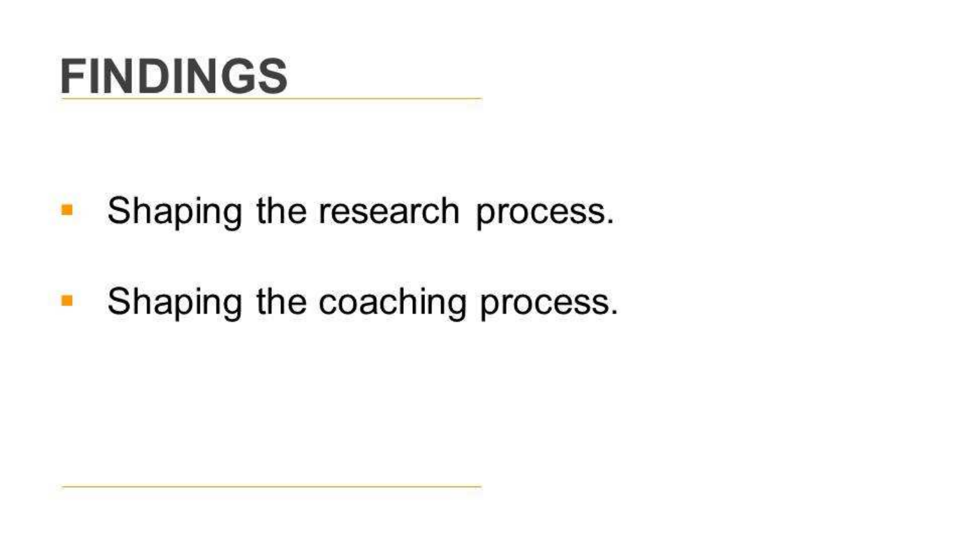### **FINDINGS**

#### Shaping the research process. ۰

Shaping the coaching process. п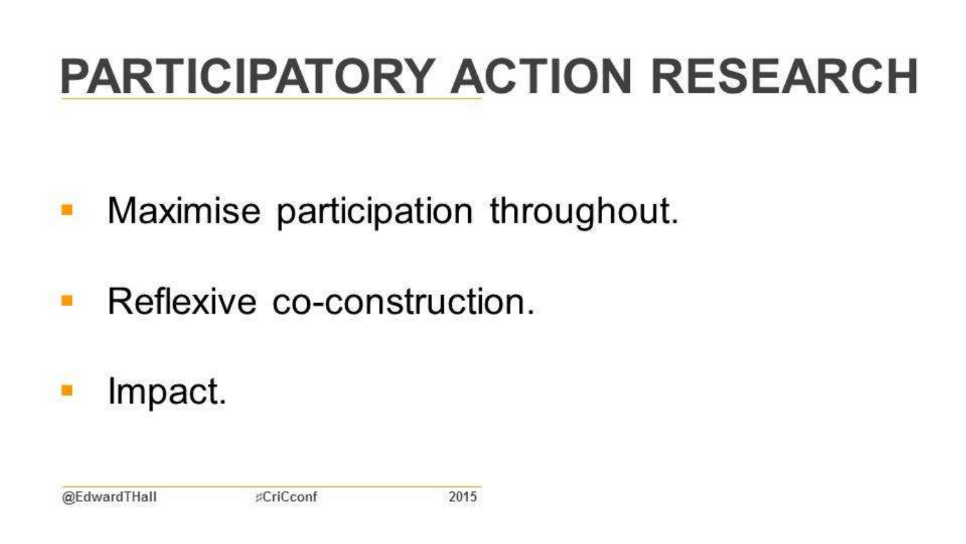## **PARTICIPATORY ACTION RESEARCH**

#### Maximise participation throughout.  $\blacksquare$

#### Reflexive co-construction.  $\blacksquare$